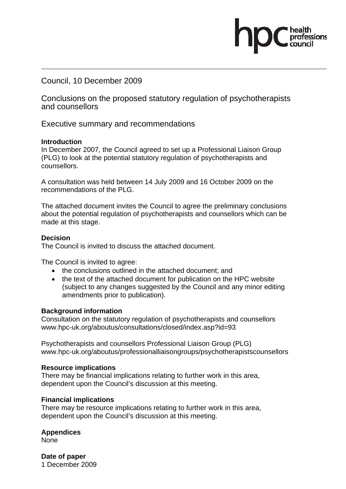Council, 10 December 2009

Conclusions on the proposed statutory regulation of psychotherapists and counsellors

Executive summary and recommendations

#### **Introduction**

In December 2007, the Council agreed to set up a Professional Liaison Group (PLG) to look at the potential statutory regulation of psychotherapists and counsellors.

A consultation was held between 14 July 2009 and 16 October 2009 on the recommendations of the PLG.

The attached document invites the Council to agree the preliminary conclusions about the potential regulation of psychotherapists and counsellors which can be made at this stage.

#### **Decision**

The Council is invited to discuss the attached document.

The Council is invited to agree:

- the conclusions outlined in the attached document: and
- the text of the attached document for publication on the HPC website (subject to any changes suggested by the Council and any minor editing amendments prior to publication).

#### **Background information**

Consultation on the statutory regulation of psychotherapists and counsellors www.hpc-uk.org/aboutus/consultations/closed/index.asp?id=93

Psychotherapists and counsellors Professional Liaison Group (PLG) www.hpc-uk.org/aboutus/professionalliaisongroups/psychotherapistscounsellors

#### **Resource implications**

There may be financial implications relating to further work in this area, dependent upon the Council's discussion at this meeting.

#### **Financial implications**

There may be resource implications relating to further work in this area, dependent upon the Council's discussion at this meeting.

#### **Appendices**

None

**Date of paper**  1 December 2009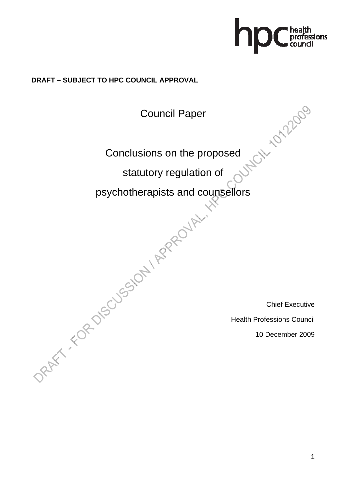

# **DRAFT – SUBJECT TO HPC COUNCIL APPROVAL**

Council Paper

Conclusions on the proposed<br>statutory requisition

statutory regulation of

psychotherapists and counsellors DRAFT - FOR DISSIDA / RPROJA-IN

Chief Executive

Health Professions Council

10 December 2009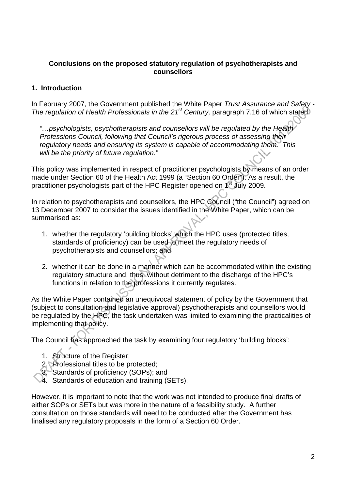### **Conclusions on the proposed statutory regulation of psychotherapists and counsellors**

# **1. Introduction**

In February 2007, the Government published the White Paper *Trust Assurance and Safety - The regulation of Health Professionals in the 21<sup>st</sup> Century, paragraph 7.16 of which stated.* 

*"…psychologists, psychotherapists and counsellors will be regulated by the Health Professions Council, following that Council's rigorous process of assessing their regulatory needs and ensuring its system is capable of accommodating them. This will be the priority of future regulation."* 

This policy was implemented in respect of practitioner psychologists by means of an order made under Section 60 of the Health Act 1999 (a "Section 60 Order"). As a result, the practitioner psychologists part of the HPC Register opened on 1st July 2009.

In relation to psychotherapists and counsellors, the HPC Council ("the Council") agreed on 13 December 2007 to consider the issues identified in the White Paper, which can be summarised as:

- 1. whether the regulatory 'building blocks' which the HPC uses (protected titles, standards of proficiency) can be used to meet the regulatory needs of psychotherapists and counsellors; and
- 2. whether it can be done in a manner which can be accommodated within the existing regulatory structure and, thus, without detriment to the discharge of the HPC's functions in relation to the professions it currently regulates.

As the White Paper contained an unequivocal statement of policy by the Government that (subject to consultation and legislative approval) psychotherapists and counsellors would be regulated by the HPC, the task undertaken was limited to examining the practicalities of implementing that policy.

The Council has approached the task by examining four regulatory 'building blocks':

- 1. Structure of the Register;
- 2. Professional titles to be protected;
- 3. Standards of proficiency (SOPs); and
- 4. Standards of education and training (SETs).

However, it is important to note that the work was not intended to produce final drafts of either SOPs or SETs but was more in the nature of a feasibility study. A further consultation on those standards will need to be conducted after the Government has finalised any regulatory proposals in the form of a Section 60 Order.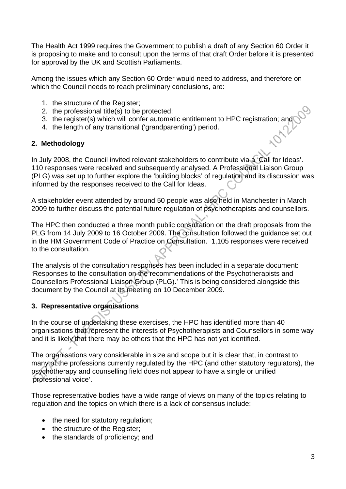The Health Act 1999 requires the Government to publish a draft of any Section 60 Order it is proposing to make and to consult upon the terms of that draft Order before it is presented for approval by the UK and Scottish Parliaments.

Among the issues which any Section 60 Order would need to address, and therefore on which the Council needs to reach preliminary conclusions, are:

- 1. the structure of the Register;
- 2. the professional title(s) to be protected;
- 3. the register(s) which will confer automatic entitlement to HPC registration; and
- 4. the length of any transitional ('grandparenting') period.

#### **2. Methodology**

In July 2008, the Council invited relevant stakeholders to contribute via a 'Call for Ideas'. 110 responses were received and subsequently analysed. A Professional Liaison Group (PLG) was set up to further explore the 'building blocks' of regulation and its discussion was informed by the responses received to the Call for Ideas.

A stakeholder event attended by around 50 people was also held in Manchester in March 2009 to further discuss the potential future regulation of psychotherapists and counsellors.

The HPC then conducted a three month public consultation on the draft proposals from the PLG from 14 July 2009 to 16 October 2009. The consultation followed the guidance set out in the HM Government Code of Practice on Consultation. 1,105 responses were received to the consultation.

The analysis of the consultation responses has been included in a separate document: 'Responses to the consultation on the recommendations of the Psychotherapists and Counsellors Professional Liaison Group (PLG).' This is being considered alongside this document by the Council at its meeting on 10 December 2009.

# **3. Representative organisations**

In the course of undertaking these exercises, the HPC has identified more than 40 organisations that represent the interests of Psychotherapists and Counsellors in some way and it is likely that there may be others that the HPC has not yet identified.

The organisations vary considerable in size and scope but it is clear that, in contrast to many of the professions currently regulated by the HPC (and other statutory regulators), the psychotherapy and counselling field does not appear to have a single or unified 'professional voice'.

Those representative bodies have a wide range of views on many of the topics relating to regulation and the topics on which there is a lack of consensus include:

- the need for statutory regulation;
- the structure of the Register:
- the standards of proficiency; and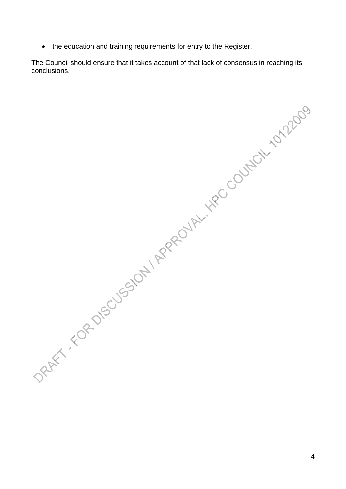• the education and training requirements for entry to the Register.

The Council should ensure that it takes account of that lack of consensus in reaching its

onclusions.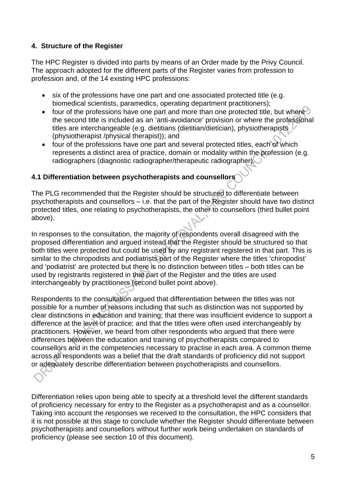# **4. Structure of the Register**

The HPC Register is divided into parts by means of an Order made by the Privy Council. The approach adopted for the different parts of the Register varies from profession to profession and, of the 14 existing HPC professions:

- six of the professions have one part and one associated protected title (e.g. biomedical scientists, paramedics, operating department practitioners);
- four of the professions have one part and more than one protected title, but where the second title is included as an 'anti-avoidance' provision or where the professional titles are interchangeable (e.g. dietitians (dietitian/dietician), physiotherapists (physiotherapist /physical therapist)); and
- four of the professions have one part and several protected titles, each of which represents a distinct area of practice, domain or modality within the profession (e.g. radiographers (diagnostic radiographer/therapeutic radiographer).

# **4.1 Differentiation between psychotherapists and counsellors**

The PLG recommended that the Register should be structured to differentiate between psychotherapists and counsellors – i.e. that the part of the Register should have two distinct protected titles, one relating to psychotherapists, the other to counsellors (third bullet point above).

In responses to the consultation, the majority of respondents overall disagreed with the proposed differentiation and argued instead that the Register should be structured so that both titles were protected but could be used by any registrant registered in that part. This is similar to the chiropodists and podiatrists part of the Register where the titles 'chiropodist' and 'podiatrist' are protected but there is no distinction between titles – both titles can be used by registrants registered in that part of the Register and the titles are used interchangeably by practitioners (second bullet point above).

Respondents to the consultation argued that differentiation between the titles was not possible for a number of reasons including that such as distinction was not supported by clear distinctions in education and training; that there was insufficient evidence to support a difference at the level of practice; and that the titles were often used interchangeably by practitioners. However, we heard from other respondents who argued that there were differences between the education and training of psychotherapists compared to counsellors and in the competencies necessary to practise in each area. A common theme across all respondents was a belief that the draft standards of proficiency did not support or adequately describe differentiation between psychotherapists and counsellors.

Differentiation relies upon being able to specify at a threshold level the different standards of proficiency necessary for entry to the Register as a psychotherapist and as a counsellor. Taking into account the responses we received to the consultation, the HPC considers that it is not possible at this stage to conclude whether the Register should differentiate between psychotherapists and counsellors without further work being undertaken on standards of proficiency (please see section 10 of this document).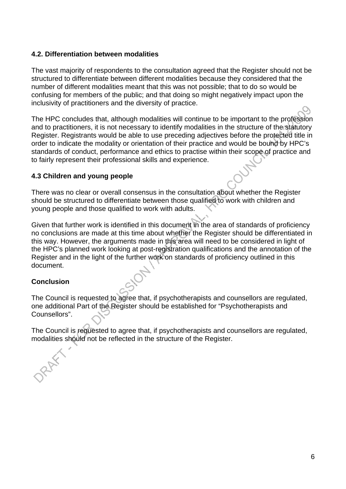#### **4.2. Differentiation between modalities**

The vast majority of respondents to the consultation agreed that the Register should not be structured to differentiate between different modalities because they considered that the number of different modalities meant that this was not possible; that to do so would be confusing for members of the public; and that doing so might negatively impact upon the inclusivity of practitioners and the diversity of practice.

The HPC concludes that, although modalities will continue to be important to the profession and to practitioners, it is not necessary to identify modalities in the structure of the statutory Register. Registrants would be able to use preceding adjectives before the protected title in order to indicate the modality or orientation of their practice and would be bound by HPC's standards of conduct, performance and ethics to practise within their scope of practice and to fairly represent their professional skills and experience.

#### **4.3 Children and young people**

There was no clear or overall consensus in the consultation about whether the Register should be structured to differentiate between those qualified to work with children and young people and those qualified to work with adults.

Given that further work is identified in this document in the area of standards of proficiency no conclusions are made at this time about whether the Register should be differentiated in this way. However, the arguments made in this area will need to be considered in light of the HPC's planned work looking at post-registration qualifications and the annotation of the Register and in the light of the further work on standards of proficiency outlined in this document.

# **Conclusion**

The Council is requested to agree that, if psychotherapists and counsellors are regulated, one additional Part of the Register should be established for "Psychotherapists and Counsellors".

The Council is requested to agree that, if psychotherapists and counsellors are regulated, modalities should not be reflected in the structure of the Register.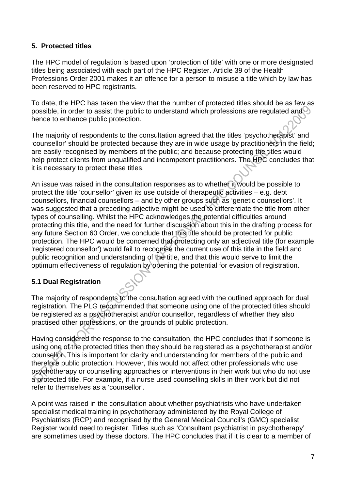# **5. Protected titles**

The HPC model of regulation is based upon 'protection of title' with one or more designated titles being associated with each part of the HPC Register. Article 39 of the Health Professions Order 2001 makes it an offence for a person to misuse a title which by law has been reserved to HPC registrants.

To date, the HPC has taken the view that the number of protected titles should be as few as possible, in order to assist the public to understand which professions are regulated and hence to enhance public protection.

The majority of respondents to the consultation agreed that the titles 'psychotherapist' and 'counsellor' should be protected because they are in wide usage by practitioners in the field; are easily recognised by members of the public; and because protecting the titles would help protect clients from unqualified and incompetent practitioners. The HPC concludes that it is necessary to protect these titles.

An issue was raised in the consultation responses as to whether it would be possible to protect the title 'counsellor' given its use outside of therapeutic activities – e.g. debt counsellors, financial counsellors – and by other groups such as 'genetic counsellors'. It was suggested that a preceding adjective might be used to differentiate the title from other types of counselling. Whilst the HPC acknowledges the potential difficulties around protecting this title, and the need for further discussion about this in the drafting process for any future Section 60 Order, we conclude that this title should be protected for public protection. The HPC would be concerned that protecting only an adjectival title (for example 'registered counsellor') would fail to recognise the current use of this title in the field and public recognition and understanding of the title, and that this would serve to limit the optimum effectiveness of regulation by opening the potential for evasion of registration.

# **5.1 Dual Registration**

The majority of respondents to the consultation agreed with the outlined approach for dual registration. The PLG recommended that someone using one of the protected titles should be registered as a psychotherapist and/or counsellor, regardless of whether they also practised other professions, on the grounds of public protection.

Having considered the response to the consultation, the HPC concludes that if someone is using one of the protected titles then they should be registered as a psychotherapist and/or counsellor. This is important for clarity and understanding for members of the public and therefore public protection. However, this would not affect other professionals who use psychotherapy or counselling approaches or interventions in their work but who do not use a protected title. For example, if a nurse used counselling skills in their work but did not refer to themselves as a 'counsellor'.

A point was raised in the consultation about whether psychiatrists who have undertaken specialist medical training in psychotherapy administered by the Royal College of Psychiatrists (RCP) and recognised by the General Medical Council's (GMC) specialist Register would need to register. Titles such as 'Consultant psychiatrist in psychotherapy' are sometimes used by these doctors. The HPC concludes that if it is clear to a member of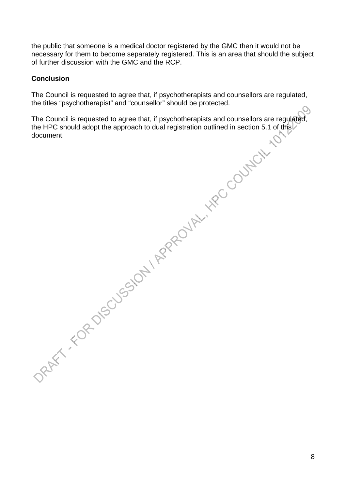the public that someone is a medical doctor registered by the GMC then it would not be necessary for them to become separately registered. This is an area that should the subject of further discussion with the GMC and the RCP.

#### **Conclusion**

The Council is requested to agree that, if psychotherapists and counsellors are regulated, the titles "psychotherapist" and "counsellor" should be protected.  $\bigcirc$ 

The Council is requested to agree that, if psychotherapists and counsellors are regulated, the HPC should adopt the approach to dual registration outlined in section 5.1 of this document.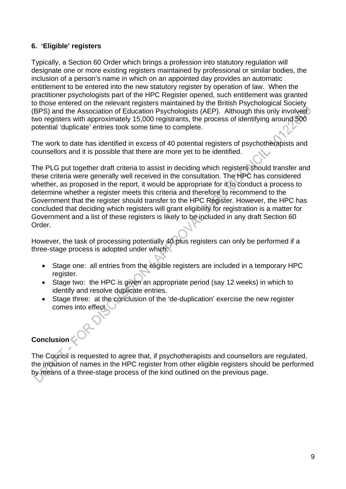# **6. 'Eligible' registers**

Typically, a Section 60 Order which brings a profession into statutory regulation will designate one or more existing registers maintained by professional or similar bodies, the inclusion of a person's name in which on an appointed day provides an automatic entitlement to be entered into the new statutory register by operation of law. When the practitioner psychologists part of the HPC Register opened, such entitlement was granted to those entered on the relevant registers maintained by the British Psychological Society (BPS) and the Association of Education Psychologists (AEP). Although this only involved two registers with approximately 15,000 registrants, the process of identifying around 500 potential 'duplicate' entries took some time to complete.

The work to date has identified in excess of 40 potential registers of psychotherapists and counsellors and it is possible that there are more yet to be identified.

The PLG put together draft criteria to assist in deciding which registers should transfer and these criteria were generally well received in the consultation. The HPC has considered whether, as proposed in the report, it would be appropriate for it to conduct a process to determine whether a register meets this criteria and therefore to recommend to the Government that the register should transfer to the HPC Register. However, the HPC has concluded that deciding which registers will grant eligibility for registration is a matter for Government and a list of these registers is likely to be included in any draft Section 60 Order.

However, the task of processing potentially 40 plus registers can only be performed if a three-stage process is adopted under which

- Stage one: all entries from the eligible registers are included in a temporary HPC register.
- Stage two: the HPC is given an appropriate period (say 12 weeks) in which to identify and resolve duplicate entries.
- Stage three: at the conclusion of the 'de-duplication' exercise the new register comes into effect.

# **Conclusion**

The Council is requested to agree that, if psychotherapists and counsellors are regulated, the inclusion of names in the HPC register from other eligible registers should be performed by means of a three-stage process of the kind outlined on the previous page.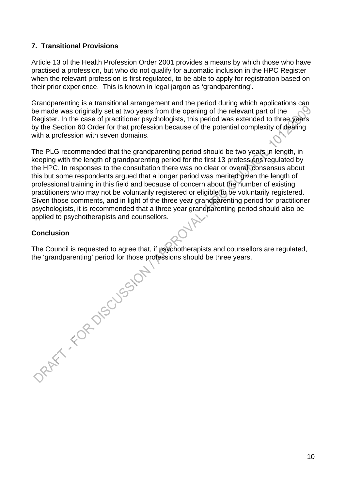# **7. Transitional Provisions**

Article 13 of the Health Profession Order 2001 provides a means by which those who have practised a profession, but who do not qualify for automatic inclusion in the HPC Register when the relevant profession is first regulated, to be able to apply for registration based on their prior experience. This is known in legal jargon as 'grandparenting'.

Grandparenting is a transitional arrangement and the period during which applications can be made was originally set at two years from the opening of the relevant part of the Register. In the case of practitioner psychologists, this period was extended to three years by the Section 60 Order for that profession because of the potential complexity of dealing with a profession with seven domains.

The PLG recommended that the grandparenting period should be two years in length, in keeping with the length of grandparenting period for the first 13 professions regulated by the HPC. In responses to the consultation there was no clear or overall consensus about this but some respondents argued that a longer period was merited given the length of professional training in this field and because of concern about the number of existing practitioners who may not be voluntarily registered or eligible to be voluntarily registered. Given those comments, and in light of the three year grandparenting period for practitioner psychologists, it is recommended that a three year grandparenting period should also be applied to psychotherapists and counsellors.

# **Conclusion**

the 'grandparenting' period for those professions should be three years.

The Council is requested to agree that, if psychotherapists and counsellors are regulated, the 'grandparenting' period for those professions should be three years.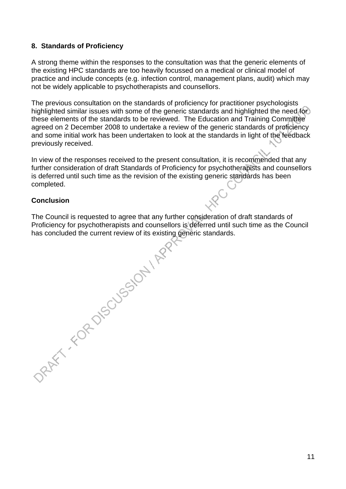### **8. Standards of Proficiency**

A strong theme within the responses to the consultation was that the generic elements of the existing HPC standards are too heavily focussed on a medical or clinical model of practice and include concepts (e.g. infection control, management plans, audit) which may not be widely applicable to psychotherapists and counsellors.

The previous consultation on the standards of proficiency for practitioner psychologists highlighted similar issues with some of the generic standards and highlighted the need for these elements of the standards to be reviewed. The Education and Training Committee agreed on 2 December 2008 to undertake a review of the generic standards of proficiency and some initial work has been undertaken to look at the standards in light of the feedback previously received.

In view of the responses received to the present consultation, it is recommended that any further consideration of draft Standards of Proficiency for psychotherapists and counsellors is deferred until such time as the revision of the existing generic standards has been completed.

#### **Conclusion**

The Council is requested to agree that any further consideration of draft standards of has concluded the current review of its existing generic standards.

Proficiency for psychotherapists and counsellors is deferred until such time as the Council<br>has concluded the current review of its existing generic standards.<br>And the council of the council of the council of the council o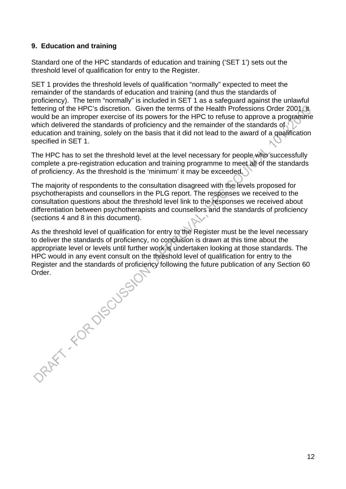# **9. Education and training**

Standard one of the HPC standards of education and training ('SET 1') sets out the threshold level of qualification for entry to the Register.

SET 1 provides the threshold levels of qualification "normally" expected to meet the remainder of the standards of education and training (and thus the standards of proficiency). The term "normally" is included in SET 1 as a safeguard against the unlawful fettering of the HPC's discretion. Given the terms of the Health Professions Order 2001. It would be an improper exercise of its powers for the HPC to refuse to approve a programme which delivered the standards of proficiency and the remainder of the standards of education and training, solely on the basis that it did not lead to the award of a qualification specified in SET 1.

The HPC has to set the threshold level at the level necessary for people who successfully complete a pre-registration education and training programme to meet all of the standards of proficiency. As the threshold is the 'minimum' it may be exceeded.

The majority of respondents to the consultation disagreed with the levels proposed for psychotherapists and counsellors in the PLG report. The responses we received to the consultation questions about the threshold level link to the responses we received about differentiation between psychotherapists and counsellors and the standards of proficiency (sections 4 and 8 in this document).

As the threshold level of qualification for entry to the Register must be the level necessary to deliver the standards of proficiency, no conclusion is drawn at this time about the appropriate level or levels until further work is undertaken looking at those standards. The HPC would in any event consult on the threshold level of qualification for entry to the Register and the standards of proficiency following the future publication of any Section 60

Order.